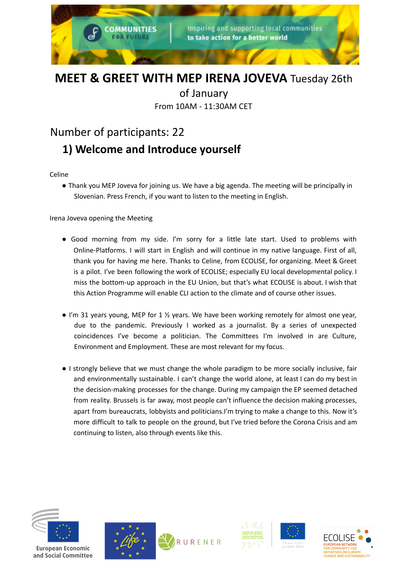

# **MEET & GREET WITH MEP IRENA JOVEVA** Tuesday 26th

of January

From 10AM - 11:30AM CET

## Number of participants: 22

# **1) Welcome and Introduce yourself**

Celine

● Thank you MEP Joveva for joining us. We have a big agenda. The meeting will be principally in Slovenian. Press French, if you want to listen to the meeting in English.

Irena Joveva opening the Meeting

- Good morning from my side. I'm sorry for a little late start. Used to problems with Online-Platforms. I will start in English and will continue in my native language. First of all, thank you for having me here. Thanks to Celine, from ECOLISE, for organizing. Meet & Greet is a pilot. I've been following the work of ECOLISE; especially EU local developmental policy. I miss the bottom-up approach in the EU Union, but that's what ECOLISE is about. I wish that this Action Programme will enable CLI action to the climate and of course other issues.
- I'm 31 years young, MEP for 1 ½ years. We have been working remotely for almost one year, due to the pandemic. Previously I worked as a journalist. By a series of unexpected coincidences I've become a politician. The Committees I'm involved in are Culture, Environment and Employment. These are most relevant for my focus.
- I strongly believe that we must change the whole paradigm to be more socially inclusive, fair and environmentally sustainable. I can't change the world alone, at least I can do my best in the decision-making processes for the change. During my campaign the EP seemed detached from reality. Brussels is far away, most people can't influence the decision making processes, apart from bureaucrats, lobbyists and politicians.I'm trying to make a change to this. Now it's more difficult to talk to people on the ground, but I've tried before the Corona Crisis and am continuing to listen, also through events like this.









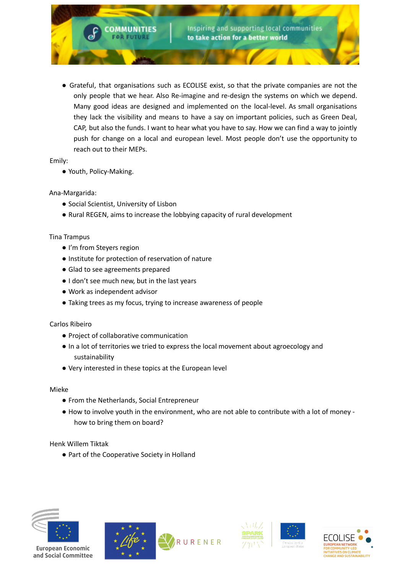

● Grateful, that organisations such as ECOLISE exist, so that the private companies are not the only people that we hear. Also Re-imagine and re-design the systems on which we depend. Many good ideas are designed and implemented on the local-level. As small organisations they lack the visibility and means to have a say on important policies, such as Green Deal, CAP, but also the funds. I want to hear what you have to say. How we can find a way to jointly push for change on a local and european level. Most people don't use the opportunity to reach out to their MEPs.

Emily:

● Youth, Policy-Making.

Ana-Margarida:

- Social Scientist, University of Lisbon
- Rural REGEN, aims to increase the lobbying capacity of rural development

### Tina Trampus

- I'm from Steyers region
- Institute for protection of reservation of nature
- Glad to see agreements prepared
- I don't see much new, but in the last years
- Work as independent advisor
- Taking trees as my focus, trying to increase awareness of people

#### Carlos Ribeiro

- Project of collaborative communication
- In a lot of territories we tried to express the local movement about agroecology and sustainability
- Very interested in these topics at the European level

Mieke

- From the Netherlands, Social Entrepreneur
- How to involve youth in the environment, who are not able to contribute with a lot of money how to bring them on board?

Henk Willem Tiktak

● Part of the Cooperative Society in Holland



European Economic and Social Committee







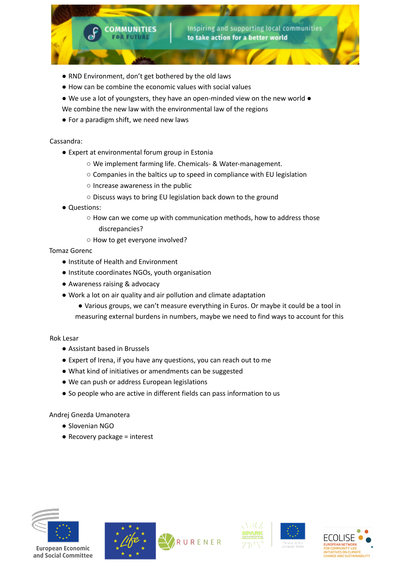

- How can be combine the economic values with social values
- We use a lot of youngsters, they have an open-minded view on the new world ●

Inspiring and supporting local communities

to take action for a better world

- We combine the new law with the environmental law of the regions
- For a paradigm shift, we need new laws

**COMMUNITIES FOR FUTURE** 

### Cassandra:

- Expert at environmental forum group in Estonia
	- We implement farming life. Chemicals- & Water-management.
	- Companies in the baltics up to speed in compliance with EU legislation
	- Increase awareness in the public
	- Discuss ways to bring EU legislation back down to the ground
- Questions:
	- How can we come up with communication methods, how to address those discrepancies?
	- How to get everyone involved?

### Tomaz Gorenc

- Institute of Health and Environment
- Institute coordinates NGOs, youth organisation
- Awareness raising & advocacy
- Work a lot on air quality and air pollution and climate adaptation
	- Various groups, we can't measure everything in Euros. Or maybe it could be a tool in measuring external burdens in numbers, maybe we need to find ways to account for this

Rok Lesar

- Assistant based in Brussels
- Expert of Irena, if you have any questions, you can reach out to me
- What kind of initiatives or amendments can be suggested
- We can push or address European legislations
- So people who are active in different fields can pass information to us

Andrej Gnezda Umanotera

- Slovenian NGO
- Recovery package = interest









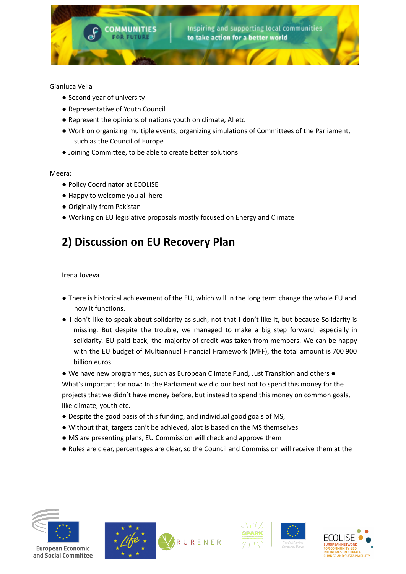

### Gianluca Vella

- Second year of university
- Representative of Youth Council
- Represent the opinions of nations youth on climate, AI etc
- Work on organizing multiple events, organizing simulations of Committees of the Parliament, such as the Council of Europe
- Joining Committee, to be able to create better solutions

### Meera:

- Policy Coordinator at ECOLISE
- Happy to welcome you all here
- Originally from Pakistan
- Working on EU legislative proposals mostly focused on Energy and Climate

## **2) Discussion on EU Recovery Plan**

Irena Joveva

- There is historical achievement of the EU, which will in the long term change the whole EU and how it functions.
- I don't like to speak about solidarity as such, not that I don't like it, but because Solidarity is missing. But despite the trouble, we managed to make a big step forward, especially in solidarity. EU paid back, the majority of credit was taken from members. We can be happy with the EU budget of Multiannual Financial Framework (MFF), the total amount is 700 900 billion euros.

● We have new programmes, such as European Climate Fund, Just Transition and others ● What's important for now: In the Parliament we did our best not to spend this money for the projects that we didn't have money before, but instead to spend this money on common goals, like climate, youth etc.

- Despite the good basis of this funding, and individual good goals of MS,
- Without that, targets can't be achieved, alot is based on the MS themselves
- MS are presenting plans, EU Commission will check and approve them
- Rules are clear, percentages are clear, so the Council and Commission will receive them at the









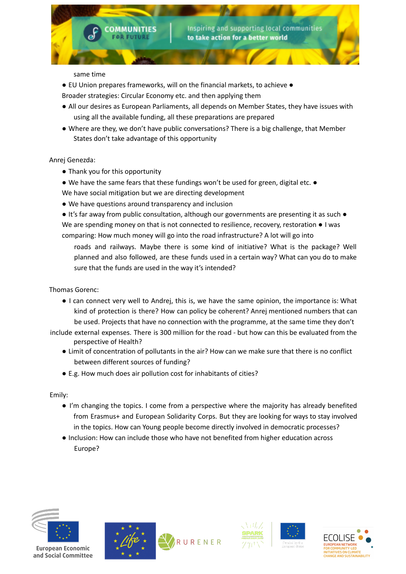same time

- EU Union prepares frameworks, will on the financial markets, to achieve ●
- Broader strategies: Circular Economy etc. and then applying them

**COMMUNITIES FOR FUTURE** 

- All our desires as European Parliaments, all depends on Member States, they have issues with using all the available funding, all these preparations are prepared
- Where are they, we don't have public conversations? There is a big challenge, that Member States don't take advantage of this opportunity

#### Anrej Genezda:

- Thank you for this opportunity
- We have the same fears that these fundings won't be used for green, digital etc. We have social mitigation but we are directing development
- We have questions around transparency and inclusion

● It's far away from public consultation, although our governments are presenting it as such ● We are spending money on that is not connected to resilience, recovery, restoration ● I was comparing: How much money will go into the road infrastructure? A lot will go into

roads and railways. Maybe there is some kind of initiative? What is the package? Well planned and also followed, are these funds used in a certain way? What can you do to make sure that the funds are used in the way it's intended?

Thomas Gorenc:

- I can connect very well to Andrej, this is, we have the same opinion, the importance is: What kind of protection is there? How can policy be coherent? Anrej mentioned numbers that can be used. Projects that have no connection with the programme, at the same time they don't
- include external expenses. There is 300 million for the road but how can this be evaluated from the perspective of Health?
	- Limit of concentration of pollutants in the air? How can we make sure that there is no conflict between different sources of funding?
	- E.g. How much does air pollution cost for inhabitants of cities?

Emily:

- I'm changing the topics. I come from a perspective where the majority has already benefited from Erasmus+ and European Solidarity Corps. But they are looking for ways to stay involved in the topics. How can Young people become directly involved in democratic processes?
- Inclusion: How can include those who have not benefited from higher education across Europe?









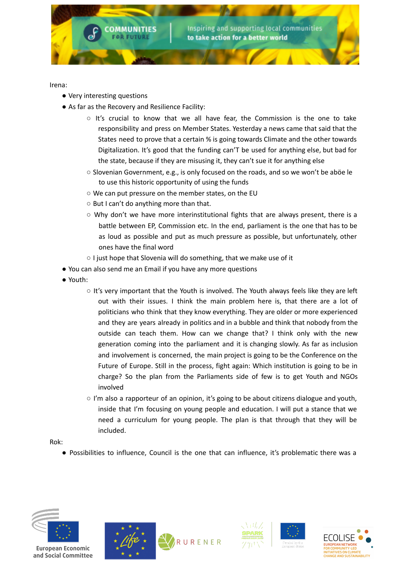

Irena:

- Very interesting questions
- As far as the Recovery and Resilience Facility:
	- $\circ$  It's crucial to know that we all have fear, the Commission is the one to take responsibility and press on Member States. Yesterday a news came that said that the States need to prove that a certain % is going towards Climate and the other towards Digitalization. It's good that the funding can'T be used for anything else, but bad for the state, because if they are misusing it, they can't sue it for anything else
	- Slovenian Government, e.g., is only focused on the roads, and so we won't be aböe le to use this historic opportunity of using the funds
	- We can put pressure on the member states, on the EU
	- But I can't do anything more than that.
	- $\circ$  Why don't we have more interinstitutional fights that are always present, there is a battle between EP, Commission etc. In the end, parliament is the one that has to be as loud as possible and put as much pressure as possible, but unfortunately, other ones have the final word
	- I just hope that Slovenia will do something, that we make use of it
- You can also send me an Email if you have any more questions
- Youth:
	- $\circ$  It's very important that the Youth is involved. The Youth always feels like they are left out with their issues. I think the main problem here is, that there are a lot of politicians who think that they know everything. They are older or more experienced and they are years already in politics and in a bubble and think that nobody from the outside can teach them. How can we change that? I think only with the new generation coming into the parliament and it is changing slowly. As far as inclusion and involvement is concerned, the main project is going to be the Conference on the Future of Europe. Still in the process, fight again: Which institution is going to be in charge? So the plan from the Parliaments side of few is to get Youth and NGOs involved
	- I'm also a rapporteur of an opinion, it's going to be about citizens dialogue and youth, inside that I'm focusing on young people and education. I will put a stance that we need a curriculum for young people. The plan is that through that they will be included.

Rok:

● Possibilities to influence, Council is the one that can influence, it's problematic there was a









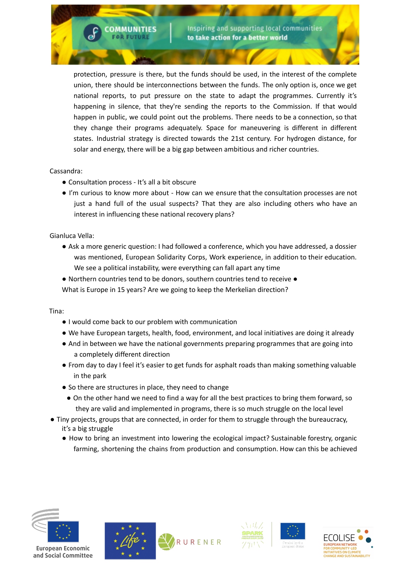protection, pressure is there, but the funds should be used, in the interest of the complete union, there should be interconnections between the funds. The only option is, once we get national reports, to put pressure on the state to adapt the programmes. Currently it's happening in silence, that they're sending the reports to the Commission. If that would happen in public, we could point out the problems. There needs to be a connection, so that they change their programs adequately. Space for maneuvering is different in different states. Industrial strategy is directed towards the 21st century. For hydrogen distance, for solar and energy, there will be a big gap between ambitious and richer countries.

### Cassandra:

● Consultation process - It's all a bit obscure

**COMMUNITIES FOR FUTURE** 

● I'm curious to know more about - How can we ensure that the consultation processes are not just a hand full of the usual suspects? That they are also including others who have an interest in influencing these national recovery plans?

Gianluca Vella:

● Ask a more generic question: I had followed a conference, which you have addressed, a dossier was mentioned, European Solidarity Corps, Work experience, in addition to their education. We see a political instability, were everything can fall apart any time

● Northern countries tend to be donors, southern countries tend to receive ● What is Europe in 15 years? Are we going to keep the Merkelian direction?

Tina:

- I would come back to our problem with communication
- We have European targets, health, food, environment, and local initiatives are doing it already
- And in between we have the national governments preparing programmes that are going into a completely different direction
- From day to day I feel it's easier to get funds for asphalt roads than making something valuable in the park
- So there are structures in place, they need to change
	- On the other hand we need to find a way for all the best practices to bring them forward, so they are valid and implemented in programs, there is so much struggle on the local level
- Tiny projects, groups that are connected, in order for them to struggle through the bureaucracy, it's a big struggle
	- How to bring an investment into lowering the ecological impact? Sustainable forestry, organic farming, shortening the chains from production and consumption. How can this be achieved









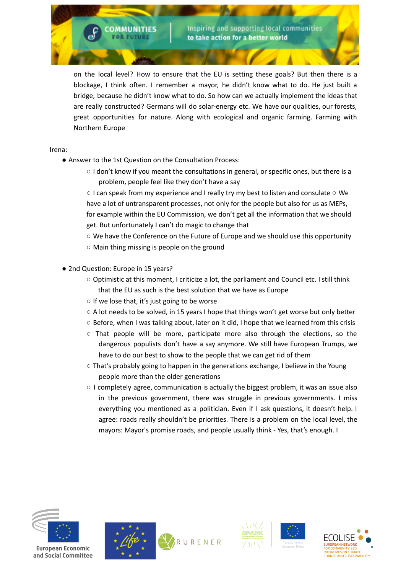on the local level? How to ensure that the EU is setting these goals? But then there is a blockage, I think often. I remember a mayor, he didn't know what to do. He just built a bridge, because he didn't know what to do. So how can we actually implement the ideas that are really constructed? Germans will do solar-energy etc. We have our qualities, our forests, great opportunities for nature. Along with ecological and organic farming. Farming with Northern Europe

Irena:

● Answer to the 1st Question on the Consultation Process:

**COMMUNITIES FOR FUTURE** 

○ I don't know if you meant the consultations in general, or specific ones, but there is a problem, people feel like they don't have a say

○ I can speak from my experience and I really try my best to listen and consulate ○ We have a lot of untransparent processes, not only for the people but also for us as MEPs, for example within the EU Commission, we don't get all the information that we should get. But unfortunately I can't do magic to change that

 $\circ$  We have the Conference on the Future of Europe and we should use this opportunity

- Main thing missing is people on the ground
- 2nd Question: Europe in 15 years?
	- Optimistic at this moment, I criticize a lot, the parliament and Council etc. I still think that the EU as such is the best solution that we have as Europe
	- If we lose that, it's just going to be worse
	- $\circ$  A lot needs to be solved, in 15 years I hope that things won't get worse but only better
	- Before, when I was talking about, later on it did, I hope that we learned from this crisis
	- $\circ$  That people will be more, participate more also through the elections, so the dangerous populists don't have a say anymore. We still have European Trumps, we have to do our best to show to the people that we can get rid of them
	- That's probably going to happen in the generations exchange, I believe in the Young people more than the older generations
	- I completely agree, communication is actually the biggest problem, it was an issue also in the previous government, there was struggle in previous governments. I miss everything you mentioned as a politician. Even if I ask questions, it doesn't help. I agree: roads really shouldn't be priorities. There is a problem on the local level, the mayors: Mayor's promise roads, and people usually think - Yes, that's enough. I



and Social Committee